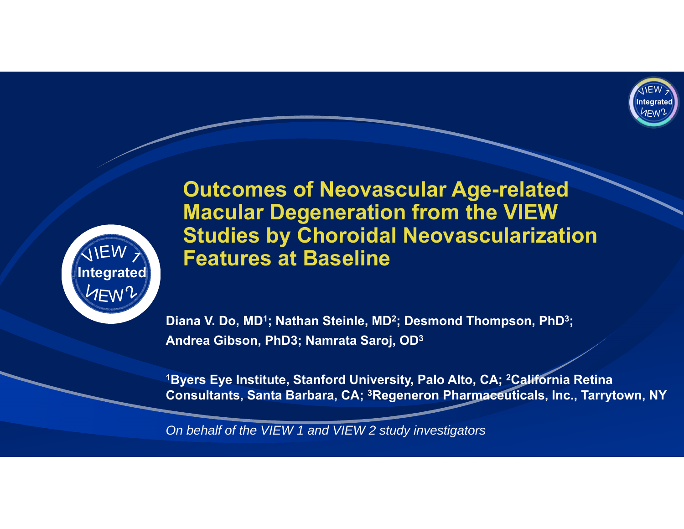



**Outcomes of Neovascular Age-related Macular Degeneration from the VIEW Studies by Choroidal Neovascularization Features at Baseline**

**Diana V. Do, MD1; Nathan Steinle, MD 2; Desmond Thompson, PhD 3; Andrea Gibson, PhD3; Namrata Saroj, OD 3**

**1Byers Eye Institute, Stanford University, Palo Alto, CA; 2California Retina Consultants, Santa Barbara, CA; 3Regeneron Pharmaceuticals, Inc., Tarrytown, NY**

*On behalf of the VIEW 1 and VIEW 2 study investigators*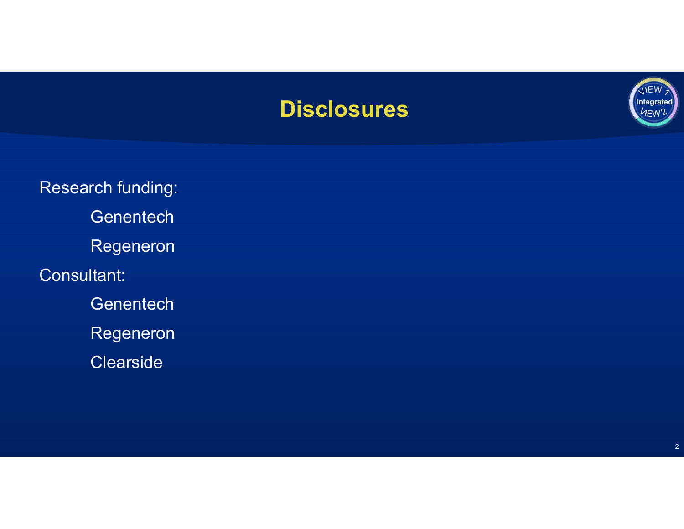## **Disclosures**



Research funding: Genentech Regeneron Consultant: Genentech Regeneron **Clearside**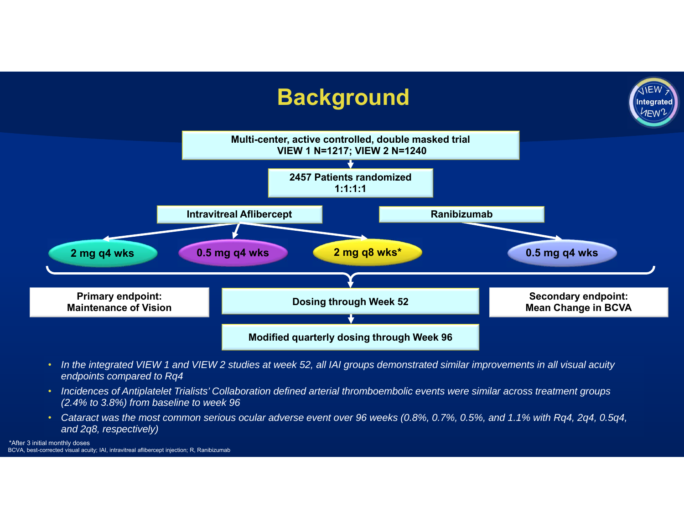

- *In the integrated VIEW 1 and VIEW 2 studies at week 52, all IAI groups demonstrated similar improvements in all visual acuity endpoints compared to Rq4*
- *Incidences of Antiplatelet Trialists' Collaboration defined arterial thromboembolic events were similar across treatment groups (2.4% to 3.8%) from baseline to week 96*
- *Cataract was the most common serious ocular adverse event over 96 weeks (0.8%, 0.7%, 0.5%, and 1.1% with Rq4, 2q4, 0.5q4, and 2q8, respectively)*

\*After 3 initial monthly doses BCVA, best-corrected visual acuity; IAI, intravitreal aflibercept injection; R, Ranibizumab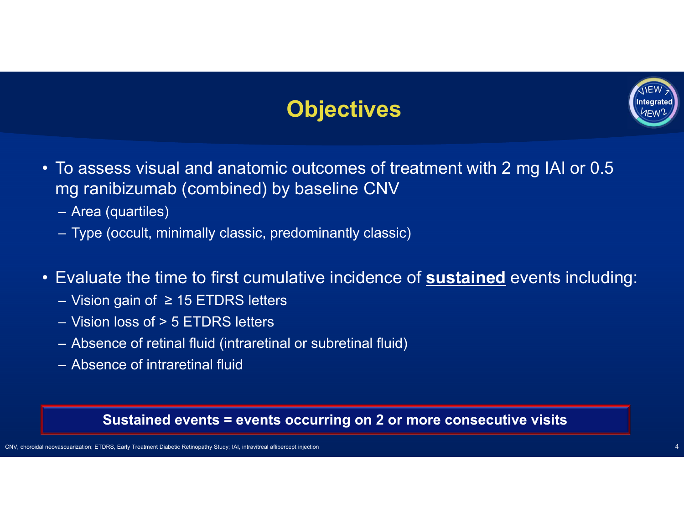# **Objectives**



- To assess visual and anatomic outcomes of treatment with 2 mg IAI or 0.5 mg ranibizumab (combined) by baseline CNV
	- Area (quartiles)
	- Type (occult, minimally classic, predominantly classic)
- Evaluate the time to first cumulative incidence of **sustained** events including:
	- Vision gain of ≥ 15 ETDRS letters
	- Vision loss of > 5 ETDRS letters
	- Absence of retinal fluid (intraretinal or subretinal fluid)
	- Absence of intraretinal fluid

### **Sustained events = events occurring on 2 or more consecutive visits**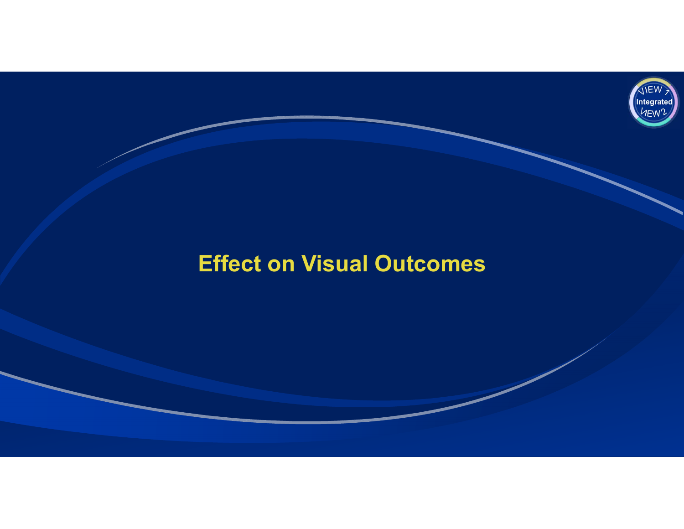

# **Effect on Visual Outcomes**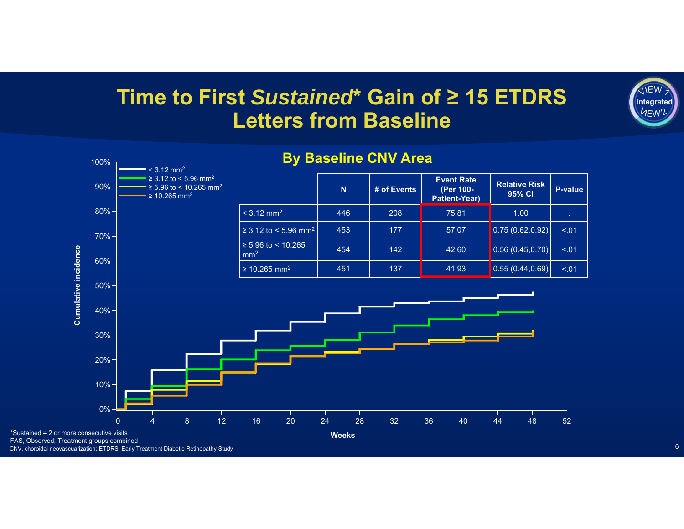## **Time to First** *Sustained***\* Gain of ≥ 15 ETDRS Letters from Baseline**



#### **By Baseline CNV Area**

\*Sustained = 2 or more consecutive visits

CNV, choroidal neovascuarization; ETDRS, Early Treatment Diabetic Retinopathy Study

**IIEW Integrated HEW**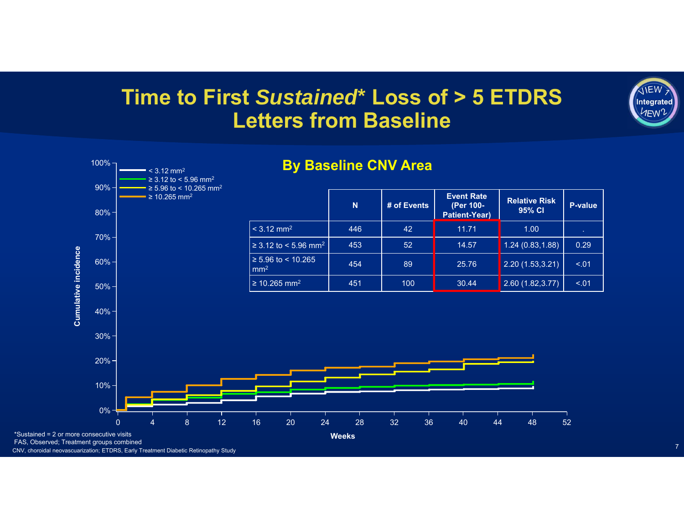## **Time to First** *Sustained***\* Loss of > 5 ETDRS Letters from Baseline**



CNV, choroidal neovascuarization; ETDRS, Early Treatment Diabetic Retinopathy Study

**IIEW Integrated IEW**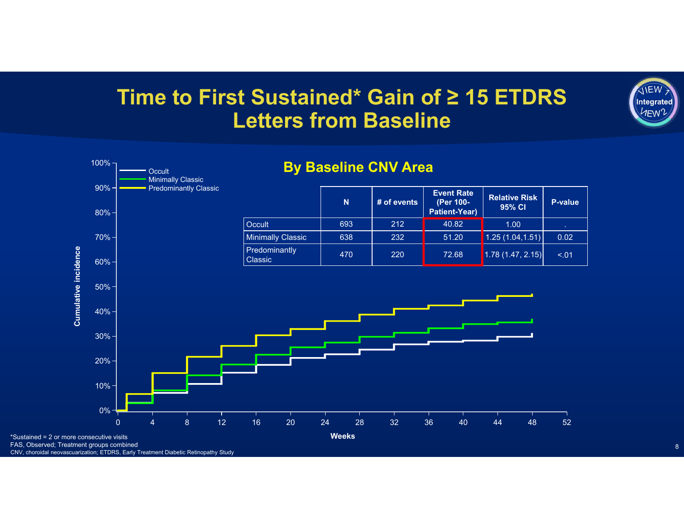## **Time to First Sustained\* Gain of ≥ 15 ETDRS Letters from Baseline**



CNV, choroidal neovascuarization; ETDRS, Early Treatment Diabetic Retinopathy Study

**IIEW Integrated HEW**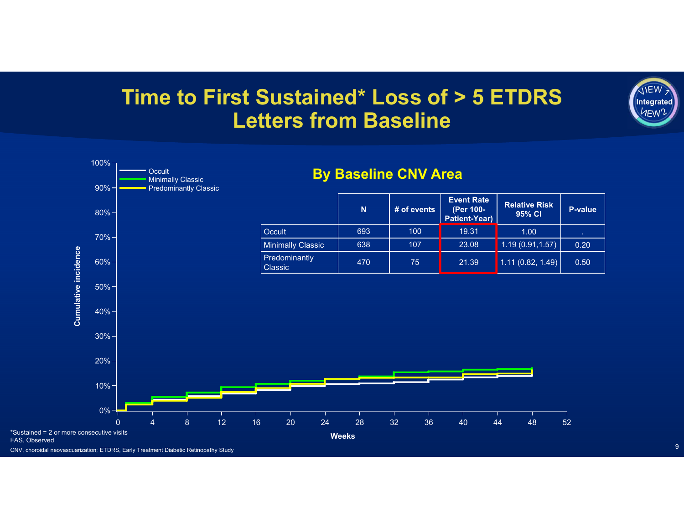## **Time to First Sustained\* Loss of > 5 ETDRS Letters from Baseline**



CNV, choroidal neovascuarization; ETDRS, Early Treatment Diabetic Retinopathy Study

**IIEW Integrated IEW**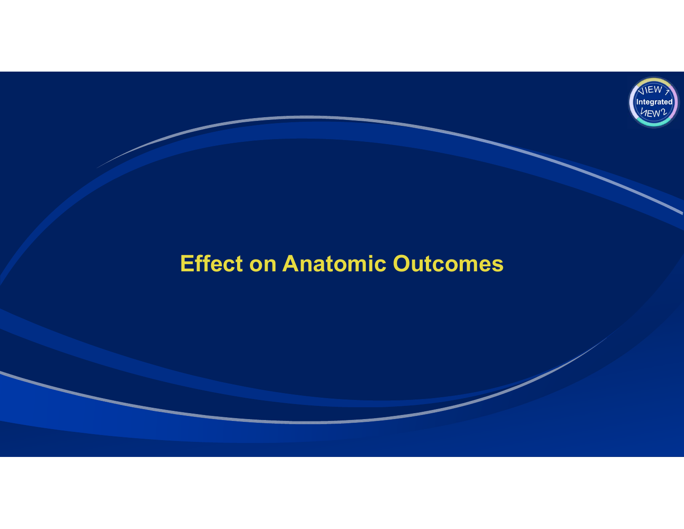

## **Effect on Anatomic Outcomes**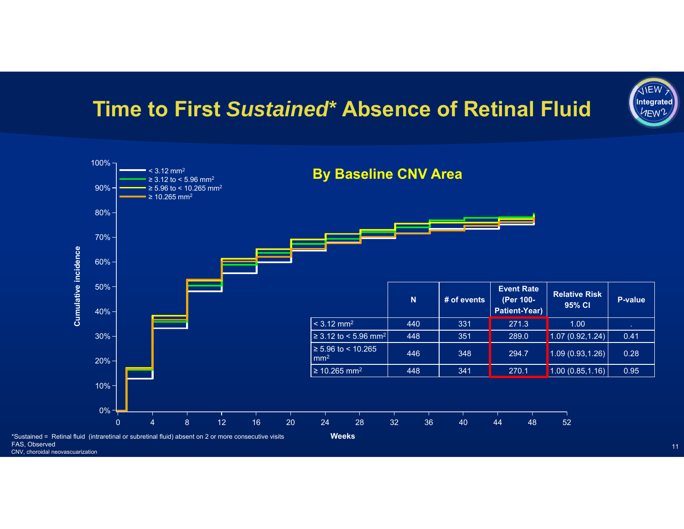## **Time to First** *Sustained***\* Absence of Retinal Fluid**



FAS, Observed CNV, choroidal neovascuarization

11

**IIEW Integrated** 1<sub>FW</sub>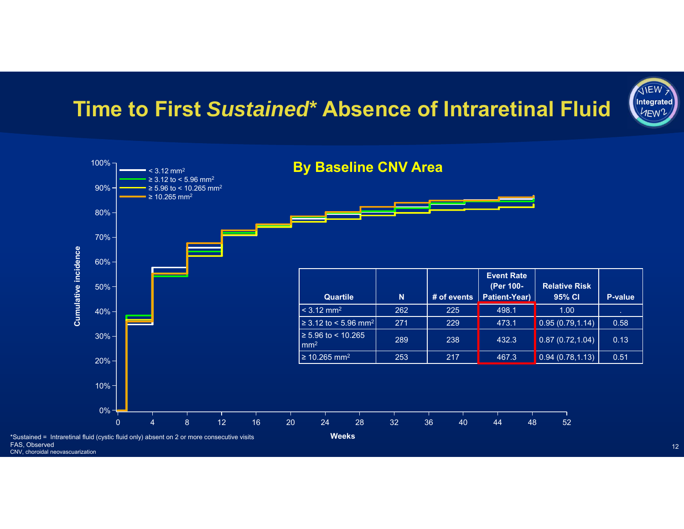## **Time to First** *Sustained***\* Absence of Intraretinal Fluid**





FAS, Observed CNV, choroidal neovascuarization

12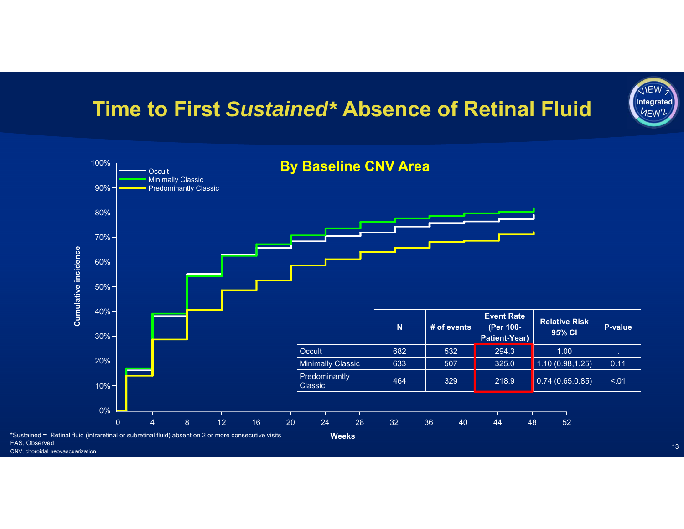## **Time to First** *Sustained\** **Absence of Retinal Fluid**



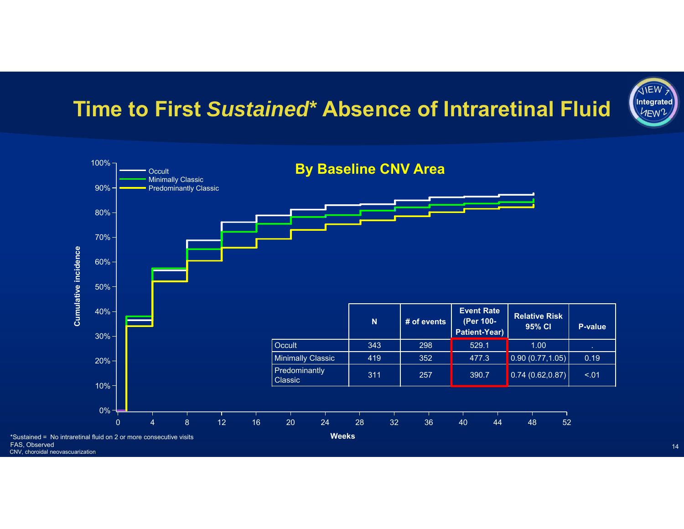## **Time to First** *Sustained***\* Absence of Intraretinal Fluid**





14